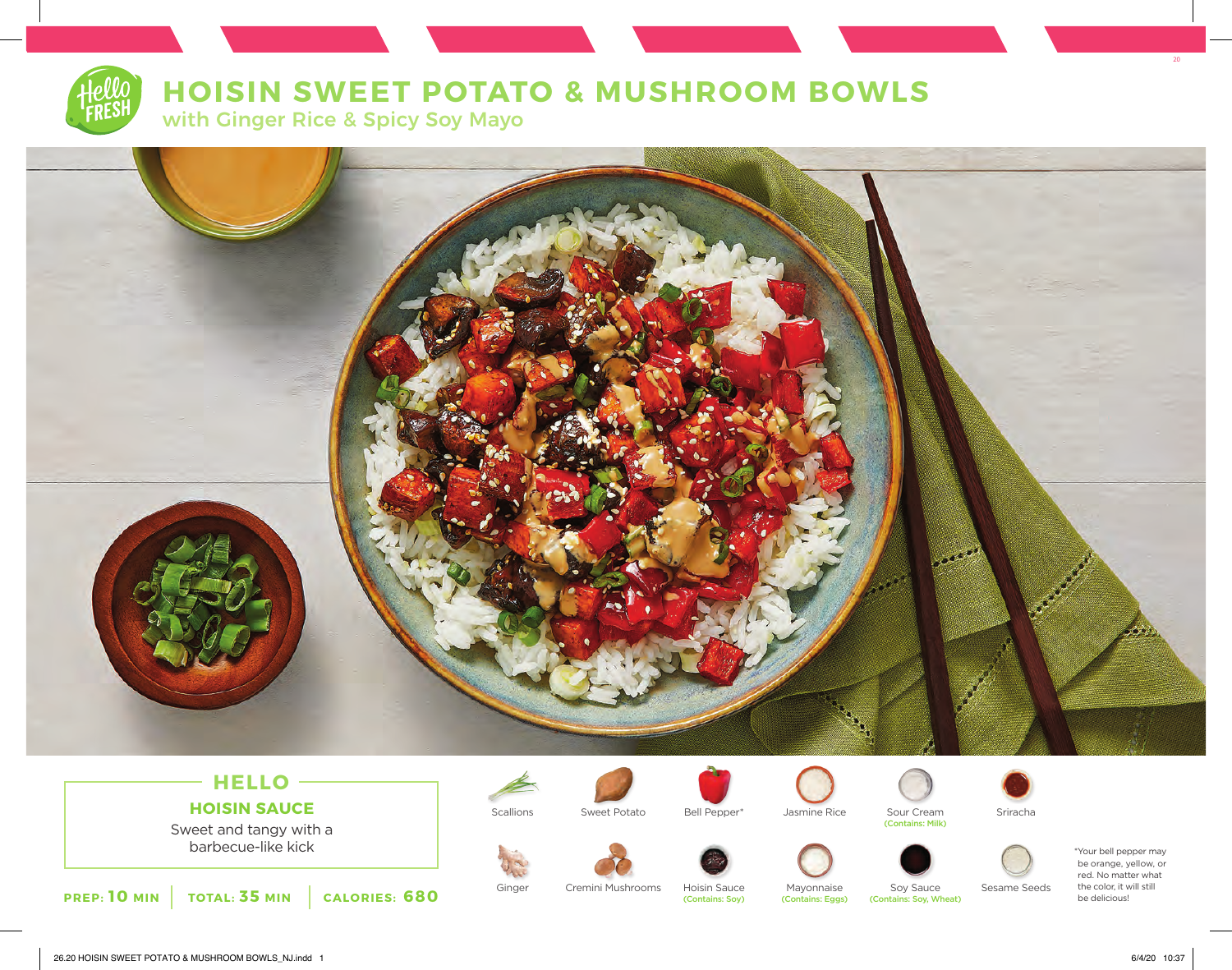

# **HOISIN SWEET POTATO & MUSHROOM BOWLS**

with Ginger Rice & Spicy Soy Mayo



## **HELLO HOISIN SAUCE**

Sweet and tangy with a<br>barbecue-like kick barbecue-like kick \*Your bell pepper may



Scallions Sweet Potato Bell Pepper\* Jasmine Rice Sour Cream Sriracha<br>Contains: Milk)

















be orange, yellow, or red. No matter what the color, it will still be delicious!

Ginger Cremini Mushrooms Hoisin Sauce Mayonnaise Soy Sauce Sesame Seeds<br>
(Contains: Soy) (Contains: Eggs) (Contains: Soy, Wheat) (Contains: Soy, Wheat)

 $20$